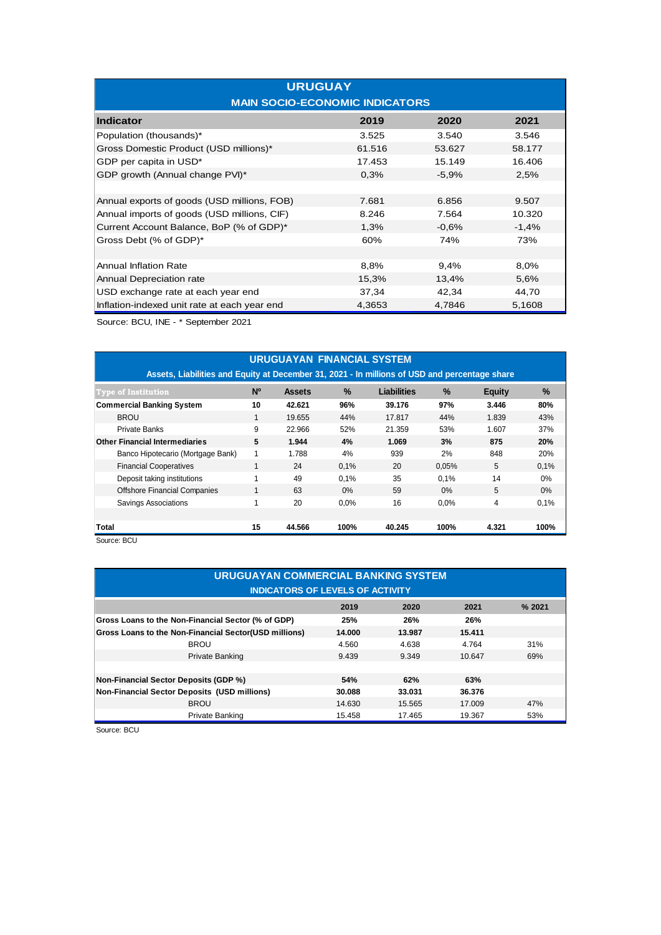| <b>URUGUAY</b><br><b>MAIN SOCIO-ECONOMIC INDICATORS</b> |        |         |         |  |  |  |
|---------------------------------------------------------|--------|---------|---------|--|--|--|
| Indicator                                               | 2019   | 2020    | 2021    |  |  |  |
| Population (thousands)*                                 | 3.525  | 3.540   | 3.546   |  |  |  |
| Gross Domestic Product (USD millions)*                  | 61.516 | 53.627  | 58.177  |  |  |  |
| GDP per capita in USD*                                  | 17.453 | 15.149  | 16.406  |  |  |  |
| GDP growth (Annual change PVI)*                         | 0,3%   | $-5.9%$ | 2,5%    |  |  |  |
|                                                         |        |         |         |  |  |  |
| Annual exports of goods (USD millions, FOB)             | 7.681  | 6.856   | 9.507   |  |  |  |
| Annual imports of goods (USD millions, CIF)             | 8.246  | 7.564   | 10.320  |  |  |  |
| Current Account Balance, BoP (% of GDP)*                | 1,3%   | $-0.6%$ | $-1,4%$ |  |  |  |
| Gross Debt (% of GDP)*                                  | 60%    | 74%     | 73%     |  |  |  |
|                                                         |        |         |         |  |  |  |
| <b>Annual Inflation Rate</b>                            | 8,8%   | 9,4%    | 8,0%    |  |  |  |
| Annual Depreciation rate                                | 15,3%  | 13,4%   | 5,6%    |  |  |  |
| USD exchange rate at each year end                      | 37,34  | 42,34   | 44,70   |  |  |  |
| Inflation-indexed unit rate at each year end            | 4,3653 | 4,7846  | 5,1608  |  |  |  |

Source: BCU, INE - \* September 2021

|                                                                                               |                | <b>URUGUAYAN FINANCIAL SYSTEM</b> |      |                    |               |               |       |
|-----------------------------------------------------------------------------------------------|----------------|-----------------------------------|------|--------------------|---------------|---------------|-------|
| Assets, Liabilities and Equity at December 31, 2021 - In millions of USD and percentage share |                |                                   |      |                    |               |               |       |
| <b>Type of Institution</b>                                                                    | N <sup>o</sup> | <b>Assets</b>                     | $\%$ | <b>Liabilities</b> | $\frac{0}{0}$ | <b>Equity</b> | $\%$  |
| <b>Commercial Banking System</b>                                                              | 10             | 42.621                            | 96%  | 39.176             | 97%           | 3.446         | 80%   |
| <b>BROU</b>                                                                                   | 1              | 19.655                            | 44%  | 17.817             | 44%           | 1.839         | 43%   |
| <b>Private Banks</b>                                                                          | 9              | 22.966                            | 52%  | 21.359             | 53%           | 1.607         | 37%   |
| <b>Other Financial Intermediaries</b>                                                         | 5              | 1.944                             | 4%   | 1.069              | 3%            | 875           | 20%   |
| Banco Hipotecario (Mortgage Bank)                                                             | 1              | 1.788                             | 4%   | 939                | 2%            | 848           | 20%   |
| <b>Financial Cooperatives</b>                                                                 |                | 24                                | 0,1% | 20                 | 0,05%         | 5             | 0,1%  |
| Deposit taking institutions                                                                   |                | 49                                | 0.1% | 35                 | 0.1%          | 14            | $0\%$ |
| <b>Offshore Financial Companies</b>                                                           | 1              | 63                                | 0%   | 59                 | 0%            | 5             | 0%    |
| Savings Associations                                                                          |                | 20                                | 0.0% | 16                 | 0.0%          | 4             | 0,1%  |
|                                                                                               |                |                                   |      |                    |               |               |       |
| Total                                                                                         | 15             | 44.566                            | 100% | 40.245             | 100%          | 4.321         | 100%  |
| Source: RCU                                                                                   |                |                                   |      |                    |               |               |       |

| <b>URUGUAYAN COMMERCIAL BANKING SYSTEM</b>            |        |        |        |     |  |  |  |
|-------------------------------------------------------|--------|--------|--------|-----|--|--|--|
| <b>INDICATORS OF LEVELS OF ACTIVITY</b>               |        |        |        |     |  |  |  |
| % 2021<br>2019<br>2020<br>2021                        |        |        |        |     |  |  |  |
| Gross Loans to the Non-Financial Sector (% of GDP)    | 25%    | 26%    | 26%    |     |  |  |  |
| Gross Loans to the Non-Financial Sector(USD millions) | 14.000 | 13.987 | 15.411 |     |  |  |  |
| <b>BROU</b>                                           | 4.560  | 4.638  | 4.764  | 31% |  |  |  |
| Private Banking                                       | 9.439  | 9.349  | 10.647 | 69% |  |  |  |
|                                                       |        |        |        |     |  |  |  |
| <b>Non-Financial Sector Deposits (GDP %)</b>          | 54%    | 62%    | 63%    |     |  |  |  |
| Non-Financial Sector Deposits (USD millions)          | 30.088 | 33.031 | 36.376 |     |  |  |  |
| <b>BROU</b>                                           | 14.630 | 15.565 | 17.009 | 47% |  |  |  |
| Private Banking                                       | 15.458 | 17.465 | 19.367 | 53% |  |  |  |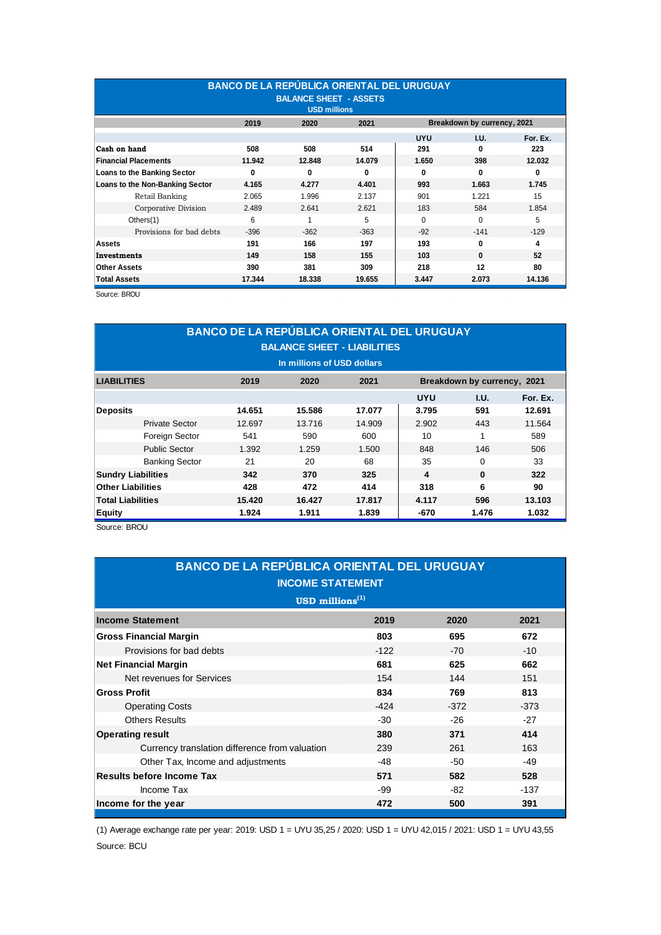| <b>BANCO DE LA REPÚBLICA ORIENTAL DEL URUGUAY</b><br><b>BALANCE SHEET - ASSETS</b><br><b>USD millions</b> |                                                        |        |        |            |              |          |  |  |
|-----------------------------------------------------------------------------------------------------------|--------------------------------------------------------|--------|--------|------------|--------------|----------|--|--|
| Breakdown by currency, 2021<br>2019<br>2021<br>2020                                                       |                                                        |        |        |            |              |          |  |  |
|                                                                                                           |                                                        |        |        | <b>UYU</b> | I.U.         | For. Ex. |  |  |
| Cash on hand                                                                                              | 508                                                    | 508    | 514    | 291        | 0            | 223      |  |  |
| <b>Financial Placements</b>                                                                               | 11.942                                                 | 12.848 | 14.079 | 1.650      | 398          | 12.032   |  |  |
| Loans to the Banking Sector                                                                               | 0                                                      | 0      | 0      | 0          | 0            | 0        |  |  |
| Loans to the Non-Banking Sector                                                                           | 4.165                                                  | 4.277  | 4.401  | 993        | 1.663        | 1.745    |  |  |
| Retail Banking                                                                                            | 2.065                                                  | 1.996  | 2.137  | 901        | 1.221        | 15       |  |  |
| Corporative Division                                                                                      | 2.489                                                  | 2.641  | 2.621  | 183        | 584          | 1.854    |  |  |
| Others(1)                                                                                                 | 6                                                      | 1      | 5      | $\Omega$   | $\Omega$     | 5        |  |  |
| Provisions for bad debts                                                                                  | $-396$                                                 | $-362$ | $-363$ | $-92$      | $-141$       | $-129$   |  |  |
| <b>Assets</b>                                                                                             | 191                                                    | 166    | 197    | 193        | $\mathbf{0}$ | 4        |  |  |
| Investments                                                                                               | 149                                                    | 158    | 155    | 103        | $\mathbf{0}$ | 52       |  |  |
| <b>Other Assets</b>                                                                                       | 390                                                    | 381    | 309    | 218        | 12           | 80       |  |  |
| <b>Total Assets</b>                                                                                       | 14.136<br>17.344<br>18.338<br>19.655<br>3.447<br>2.073 |        |        |            |              |          |  |  |

Source: BROU

| <b>BANCO DE LA REPÚBLICA ORIENTAL DEL URUGUAY</b><br><b>BALANCE SHEET - LIABILITIES</b><br>In millions of USD dollars |        |        |        |            |          |          |  |
|-----------------------------------------------------------------------------------------------------------------------|--------|--------|--------|------------|----------|----------|--|
| Breakdown by currency, 2021<br><b>LIABILITIES</b><br>2019<br>2021<br>2020                                             |        |        |        |            |          |          |  |
|                                                                                                                       |        |        |        | <b>UYU</b> | I.U.     | For. Ex. |  |
| <b>Deposits</b>                                                                                                       | 14.651 | 15.586 | 17.077 | 3.795      | 591      | 12.691   |  |
| <b>Private Sector</b>                                                                                                 | 12.697 | 13.716 | 14.909 | 2.902      | 443      | 11.564   |  |
| Foreign Sector                                                                                                        | 541    | 590    | 600    | 10         | 1        | 589      |  |
| <b>Public Sector</b>                                                                                                  | 1.392  | 1.259  | 1.500  | 848        | 146      | 506      |  |
| <b>Banking Sector</b>                                                                                                 | 21     | 20     | 68     | 35         | $\Omega$ | 33       |  |
| <b>Sundry Liabilities</b>                                                                                             | 342    | 370    | 325    | 4          | $\bf{0}$ | 322      |  |
| <b>Other Liabilities</b>                                                                                              | 428    | 472    | 414    | 318        | 6        | 90       |  |
| <b>Total Liabilities</b>                                                                                              | 15.420 | 16.427 | 17.817 | 4.117      | 596      | 13.103   |  |
| <b>Equity</b>                                                                                                         | 1.924  | 1.911  | 1.839  | -670       | 1.476    | 1.032    |  |

Source: BROU

| <b>BANCO DE LA REPÚBLICA ORIENTAL DEL URUGUAY</b><br><b>INCOME STATEMENT</b><br>$\text{USD}$ millions <sup>(1)</sup> |        |        |        |  |  |  |
|----------------------------------------------------------------------------------------------------------------------|--------|--------|--------|--|--|--|
| <b>Income Statement</b>                                                                                              | 2019   | 2020   | 2021   |  |  |  |
| <b>Gross Financial Margin</b>                                                                                        | 803    | 695    | 672    |  |  |  |
| Provisions for bad debts                                                                                             | $-122$ | $-70$  | $-10$  |  |  |  |
| <b>Net Financial Margin</b>                                                                                          | 681    | 625    | 662    |  |  |  |
| Net revenues for Services                                                                                            | 154    | 144    | 151    |  |  |  |
| <b>Gross Profit</b>                                                                                                  | 834    | 769    | 813    |  |  |  |
| <b>Operating Costs</b>                                                                                               | $-424$ | $-372$ | $-373$ |  |  |  |
| <b>Others Results</b>                                                                                                | $-30$  | $-26$  | $-27$  |  |  |  |
| <b>Operating result</b>                                                                                              | 380    | 371    | 414    |  |  |  |
| Currency translation difference from valuation                                                                       | 239    | 261    | 163    |  |  |  |
| Other Tax, Income and adjustments                                                                                    | $-48$  | $-50$  | -49    |  |  |  |
| <b>Results before Income Tax</b>                                                                                     | 571    | 582    | 528    |  |  |  |
| Income Tax                                                                                                           | -99    | -82    | -137   |  |  |  |
| Income for the year                                                                                                  | 472    | 500    | 391    |  |  |  |

(1) Average exchange rate per year: 2019: USD 1 = UYU 35,25 / 2020: USD 1 = UYU 42,015 / 2021: USD 1 = UYU 43,55 Source: BCU